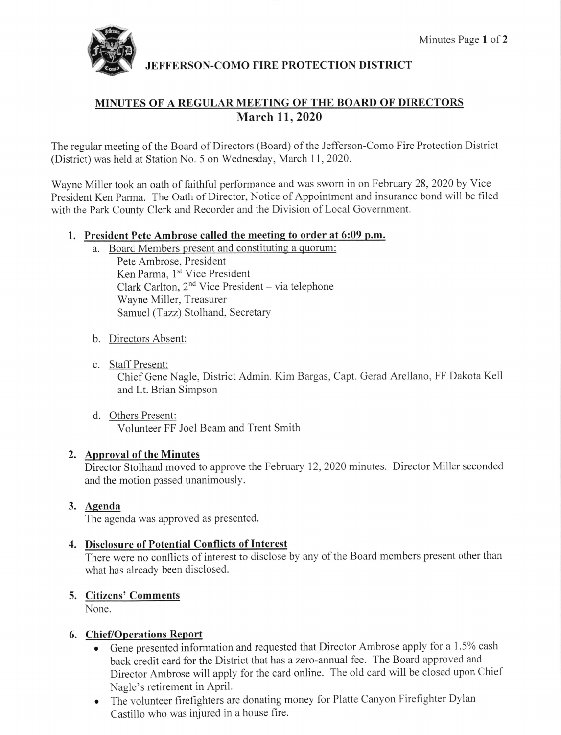

JEFFERSON.COMO FIRE PROTECTION DISTRICT

# MINUTES OF A REGULAR MEETING OF THE BOARD OF DIRECTORS March 11,2020

The regular meeting of the Board of Directors (Board) of the Jefferson-Como Fire Protection District (District) was held at Station No. 5 on Wednesday, March 11,2020.

Wayne Miller took an oath of faithful performance and was swom in on February 28,2020 by Vice President Ken Parma. The Oath of Director, Notice of Appointment and insurance bond will be filed with the Park County Clerk and Recorder and the Division of Local Government.

### l. President Pete Ambrose called the meeting to order at 6:09 p.m.

- a. Board Members present and constituting a quorum: Pete Ambrose, President Ken Parma, 1<sup>st</sup> Vice President Clark Carlton,  $2<sup>nd</sup>$  Vice President – via telephone Wayne Miller, Treasurer Samuel (Tazz) Stolhand, Secretary
- b. Directors Absent:
- c. Staff Present:

Chief Gene Nagle, District Admin. Kim Bargas, Capt. Gerad Arellano, FF Dakota Kell and Lt. Brian Simpson

d. Others Present: Volunteer FF Joel Beam and Trent Smith

## 2. Approval of the Minutes

Director Stolhand moved to approve the February 12,2020 minutes. Director Miller seconded and the motion passed unanimously.

## 3. <u>Agenda</u>

The agenda was approved as presented.

## 4. Disclosure of Potential Conflicts of Interest

There were no conflicts of interest to disclose by any of the Board members present other than what has already been disclosed.

# Citizens' Comments

None.

## 6. Chief/Operations Report

- Gene presented information and requested that Director Ambrose apply for a 1.5% cash back credit card for the District that has a zero-annual fee. The Board approved and Director Ambrose will apply for the card online. The old card will be closed upon Chief Nagle's retirement in April.
- o The volunteer firefighters are donating money for Platte Canyon Firefighter Dylan Castillo who was injured in a house fire.